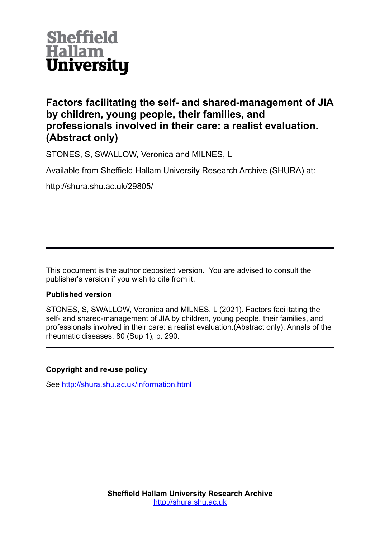

# **Factors facilitating the self- and shared-management of JIA by children, young people, their families, and professionals involved in their care: a realist evaluation. (Abstract only)**

STONES, S, SWALLOW, Veronica and MILNES, L

Available from Sheffield Hallam University Research Archive (SHURA) at:

http://shura.shu.ac.uk/29805/

This document is the author deposited version. You are advised to consult the publisher's version if you wish to cite from it.

# **Published version**

STONES, S, SWALLOW, Veronica and MILNES, L (2021). Factors facilitating the self- and shared-management of JIA by children, young people, their families, and professionals involved in their care: a realist evaluation.(Abstract only). Annals of the rheumatic diseases, 80 (Sup 1), p. 290.

# **Copyright and re-use policy**

See<http://shura.shu.ac.uk/information.html>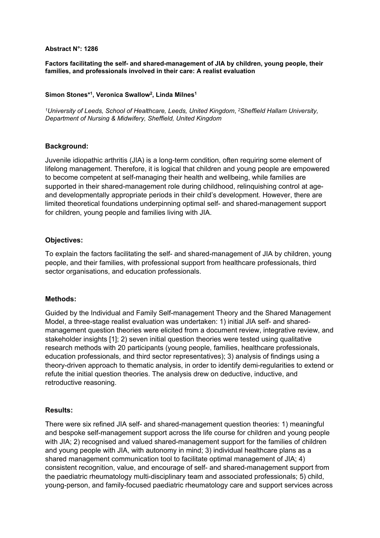#### **Abstract N°: 1286**

**Factors facilitating the self- and shared-management of JIA by children, young people, their families, and professionals involved in their care: A realist evaluation** 

## **Simon Stones\*<sup>1</sup> , Veronica Swallow<sup>2</sup> , Linda Milnes<sup>1</sup>**

*<sup>1</sup>University of Leeds, School of Healthcare, Leeds, United Kingdom*, *<sup>2</sup>Sheffield Hallam University, Department of Nursing & Midwifery, Sheffield, United Kingdom*

#### **Background:**

Juvenile idiopathic arthritis (JIA) is a long-term condition, often requiring some element of lifelong management. Therefore, it is logical that children and young people are empowered to become competent at self-managing their health and wellbeing, while families are supported in their shared-management role during childhood, relinquishing control at ageand developmentally appropriate periods in their child's development. However, there are limited theoretical foundations underpinning optimal self- and shared-management support for children, young people and families living with JIA.

## **Objectives:**

To explain the factors facilitating the self- and shared-management of JIA by children, young people, and their families, with professional support from healthcare professionals, third sector organisations, and education professionals.

#### **Methods:**

Guided by the Individual and Family Self-management Theory and the Shared Management Model, a three-stage realist evaluation was undertaken: 1) initial JIA self- and sharedmanagement question theories were elicited from a document review, integrative review, and stakeholder insights [1]; 2) seven initial question theories were tested using qualitative research methods with 20 participants (young people, families, healthcare professionals, education professionals, and third sector representatives); 3) analysis of findings using a theory-driven approach to thematic analysis, in order to identify demi-regularities to extend or refute the initial question theories. The analysis drew on deductive, inductive, and retroductive reasoning.

#### **Results:**

There were six refined JIA self- and shared-management question theories: 1) meaningful and bespoke self-management support across the life course for children and young people with JIA; 2) recognised and valued shared-management support for the families of children and young people with JIA, with autonomy in mind; 3) individual healthcare plans as a shared management communication tool to facilitate optimal management of JIA; 4) consistent recognition, value, and encourage of self- and shared-management support from the paediatric rheumatology multi-disciplinary team and associated professionals; 5) child, young-person, and family-focused paediatric rheumatology care and support services across